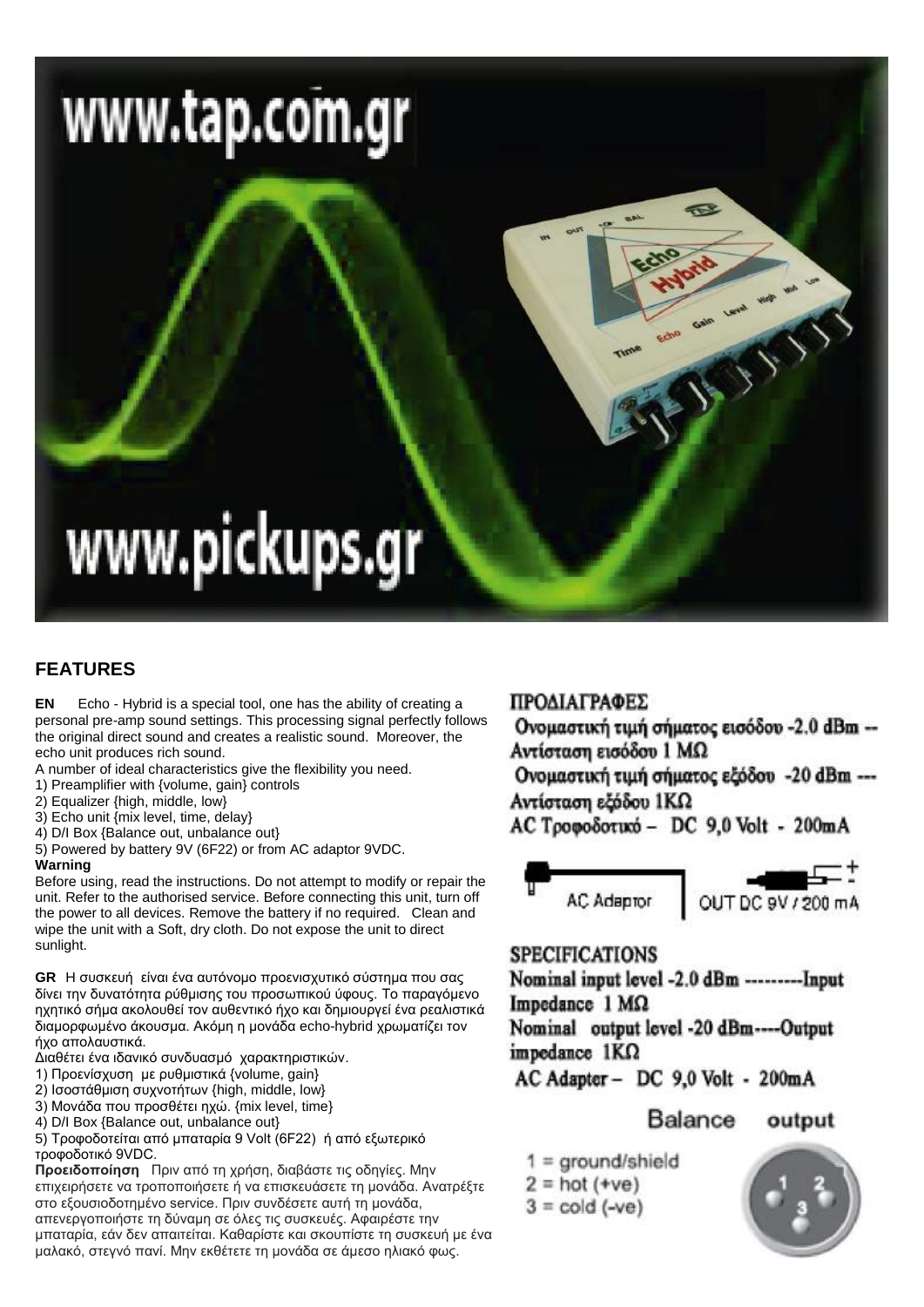# www.tap.com.gr

# www.pickups.gr

# **FEATURES**

**EN** Echo - Hybrid is a special tool, one has the ability of creating a personal pre-amp sound settings. This processing signal perfectly follows the original direct sound and creates a realistic sound. Moreover, the echo unit produces rich sound.

- A number of ideal characteristics give the flexibility you need.
- 1) Preamplifier with {volume, gain} controls
- 2) Equalizer {high, middle, low}
- 3) Echo unit {mix level, time, delay}
- 4) D/I Box {Balance out, unbalance out}

5) Powered by battery 9V (6F22) or from AC adaptor 9VDC.

## **Warning**

Before using, read the instructions. Do not attempt to modify or repair the unit. Refer to the authorised service. Before connecting this unit, turn off the power to all devices. Remove the battery if no required. Clean and wipe the unit with a Soft, dry cloth. Do not expose the unit to direct sunlight.

**GR** Η συσκευή είναι ένα αυτόνομο προενισχυτικό σύστημα που σας δίνει την δυνατότητα ρύθμισης του προσωπικού ύφους. Το παραγόμενο ηχητικό σήμα ακολουθεί τον αυθεντικό ήχο και δημιουργεί ένα ρεαλιστικά διαμορφωμένο άκουσμα. Ακόμη η μονάδα echo-hybrid χρωματίζει τον ήχο απολαυστικά.

Διαθέτει ένα ιδανικό συνδυασμό χαρακτηριστικών.

- 1) Προενίσχυση με ρυθμιστικά {volume, gain}
- 2) Ισοστάθμιση συχνοτήτων {high, middle, low}
- 3) Μονάδα που προσθέτει ηχώ. {mix level, time}
- 4) D/I Box {Balance out, unbalance out}

5) Τροφοδοτείται από μπαταρία 9 Volt (6F22) ή από εξωτερικό τροφοδοτικό 9VDC.

Προειδοποίηση Πριν από τη χρήση, διαβάστε τις οδηγίες. Μην επιχειρήσετε να τροποποιήσετε ή να επισκευάσετε τη μονάδα. Ανατρέξτε στο εξουσιοδοτημένο service. Πριν συνδέσετε αυτή τη μονάδα, απενεργοποιήστε τη δύναμη σε όλες τις συσκευές. Αφαιρέστε την μπαταρία, εάν δεν απαιτείται. Καθαρίστε και σκουπίστε τη συσκευή με ένα μαλακό, στεγνό πανί. Μην εκθέτετε τη μονάδα σε άμεσο ηλιακό φως.

# ΠΡΟΔΙΑΓΡΑΦΕΣ

Ονομαστική τιμή σήματος εισόδου -2.0 dBm --Αντίσταση εισόδου 1 ΜΩ

Company of Children

Ονομαστική τιμή σήματος εξόδου -20 dBm ---Αντίσταση εξόδου 1ΚΩ

AC Τροφοδοτικό - DC 9.0 Volt - 200mA



## **SPECIFICATIONS**

Nominal input level -2.0 dBm ---------Input Impedance  $1 M\Omega$ Nominal output level -20 dBm----Output

impedance  $1K\Omega$ 

AC Adapter - DC 9.0 Volt - 200mA

Balance output

- $1 = \text{ground/shield}$
- $2 = hot (+ve)$
- $3 = \text{cold}$  (-ve)